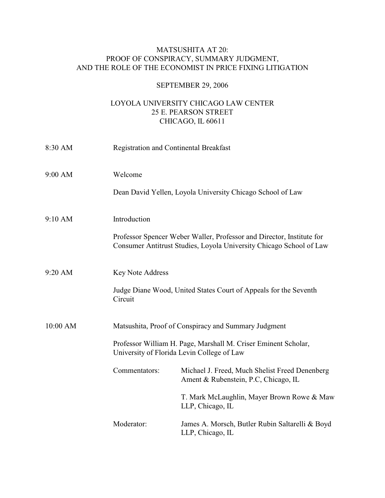## MATSUSHITA AT 20: PROOF OF CONSPIRACY, SUMMARY JUDGMENT, AND THE ROLE OF THE ECONOMIST IN PRICE FIXING LITIGATION

## SEPTEMBER 29, 2006

## LOYOLA UNIVERSITY CHICAGO LAW CENTER 25 E. PEARSON STREET CHICAGO, IL 60611

| 8:30 AM   |                                                                                                              | <b>Registration and Continental Breakfast</b>                                                                                                |  |
|-----------|--------------------------------------------------------------------------------------------------------------|----------------------------------------------------------------------------------------------------------------------------------------------|--|
| $9:00$ AM | Welcome                                                                                                      |                                                                                                                                              |  |
|           |                                                                                                              | Dean David Yellen, Loyola University Chicago School of Law                                                                                   |  |
| 9:10 AM   | Introduction                                                                                                 |                                                                                                                                              |  |
|           |                                                                                                              | Professor Spencer Weber Waller, Professor and Director, Institute for<br>Consumer Antitrust Studies, Loyola University Chicago School of Law |  |
| 9:20 AM   | <b>Key Note Address</b>                                                                                      |                                                                                                                                              |  |
|           | Judge Diane Wood, United States Court of Appeals for the Seventh<br>Circuit                                  |                                                                                                                                              |  |
| 10:00 AM  | Matsushita, Proof of Conspiracy and Summary Judgment                                                         |                                                                                                                                              |  |
|           | Professor William H. Page, Marshall M. Criser Eminent Scholar,<br>University of Florida Levin College of Law |                                                                                                                                              |  |
|           | Commentators:                                                                                                | Michael J. Freed, Much Shelist Freed Denenberg<br>Ament & Rubenstein, P.C, Chicago, IL                                                       |  |
|           |                                                                                                              | T. Mark McLaughlin, Mayer Brown Rowe & Maw<br>LLP, Chicago, IL                                                                               |  |
|           | Moderator:                                                                                                   | James A. Morsch, Butler Rubin Saltarelli & Boyd<br>LLP, Chicago, IL                                                                          |  |